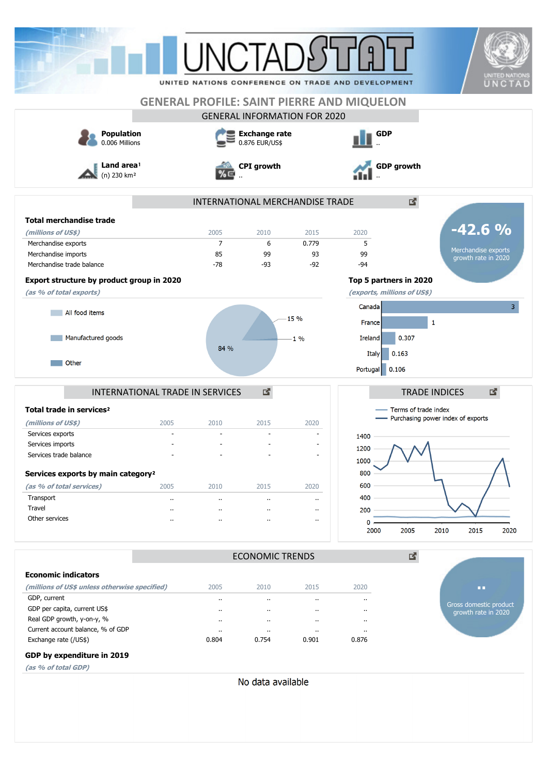|                                     | <b>UNITED NATIONS</b><br>UNCTAD<br>UNITED NATIONS CONFERENCE ON TRADE AND DEVELOPMENT |
|-------------------------------------|---------------------------------------------------------------------------------------|
|                                     | <b>GENERAL PROFILE: SAINT PIERRE AND MIQUELON</b>                                     |
| <b>GENERAL INFORMATION FOR 2020</b> |                                                                                       |
| <b>Exchange rate</b>                | <b>GDP</b>                                                                            |
|                                     | <b>GDP growth</b>                                                                     |
| INTERNATIONAL MERCHANDISE TRADE     | 國                                                                                     |
|                                     |                                                                                       |
| 2015                                | $-42.6%$<br>2020                                                                      |
| 0.779                               | 5                                                                                     |
| 93                                  | Merchandise exports<br>99                                                             |
| $-92$                               | growth rate in 2020<br>$-94$                                                          |
|                                     | Top 5 partners in 2020                                                                |
|                                     | (exports, millions of US\$)                                                           |
|                                     |                                                                                       |
| 15 %                                | 3 <sup>1</sup><br>Canada                                                              |
|                                     | 1<br>France                                                                           |
| $-1\%$                              | 0.307<br>Ireland                                                                      |
|                                     | 0.163<br>Italy                                                                        |
|                                     |                                                                                       |
|                                     | Portugal<br>0.106                                                                     |
|                                     | 國<br><b>TRADE INDICES</b>                                                             |
|                                     | - Terms of trade index                                                                |
| 2020                                | - Purchasing power index of exports                                                   |
|                                     |                                                                                       |
|                                     | 1400                                                                                  |
|                                     | 1200                                                                                  |
|                                     | 1000                                                                                  |
|                                     | 800                                                                                   |
| 2020                                | 600                                                                                   |
| $\cdot$                             | 400                                                                                   |
| $\ddot{\phantom{a}}$                | 200                                                                                   |
| $\cdot$ .                           | 0                                                                                     |
|                                     | 2005<br>2010<br>2015<br>2020<br>2000                                                  |
| <b>ECONOMIC TRENDS</b>              | 國                                                                                     |
|                                     |                                                                                       |
|                                     |                                                                                       |
|                                     | 2020<br><b>DO</b>                                                                     |
| 2015                                | <br>Gross domestic product                                                            |
|                                     | $\cdot$ .<br>growth rate in 2020                                                      |
| $\cdot$                             | $\ddot{\phantom{0}}$                                                                  |
| $\cdot$                             |                                                                                       |
| $\ddot{\phantom{a}}$<br>0.901       | $\ddot{\phantom{a}}$<br>0.876                                                         |
|                                     |                                                                                       |

**(as % of total GDP)**

No data available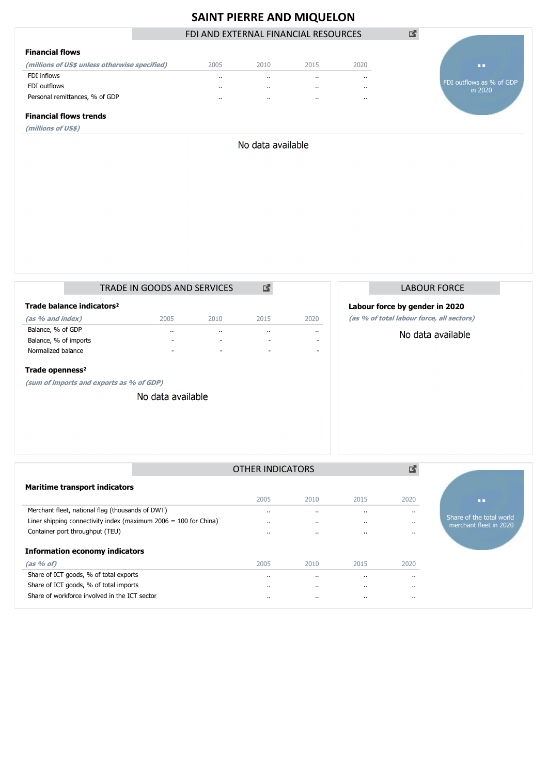# **SAINT PIERRE AND MIQUELON**

FDI AND EXTERNAL FINANCIAL RESOURCES

| <b>Financial flows</b>                        |          |                      |           |           |
|-----------------------------------------------|----------|----------------------|-----------|-----------|
| (millions of US\$ unless otherwise specified) | 2005     | 2010                 | 2015      | 2020      |
| FDI inflows                                   |          | $\cdots$             |           | $\cdots$  |
| FDI outflows                                  | $\cdots$ | $\cdots$             | $\cdots$  | $\cdots$  |
| Personal remittances, % of GDP                |          | $\ddot{\phantom{a}}$ | $\cdot$ . | $\cdot$ . |

FDI outflows as % of GDP in 2020 **..**

#### **Financial flows trends**

**(millions of US\$)**

No data available

|                             |                                       | TRADE IN GOODS AND SERVICES |           |           |           |  |
|-----------------------------|---------------------------------------|-----------------------------|-----------|-----------|-----------|--|
|                             | Trade balance indicators <sup>2</sup> |                             |           |           |           |  |
| (as % and index)            |                                       | 2005                        | 2010      | 2015      | 2020      |  |
| Balance, % of GDP           |                                       | $\cdot$ .                   | $\cdot$ . | $\cdot$ . | $\cdot$ . |  |
| Balance, % of imports       |                                       | -                           | -         |           |           |  |
| Normalized balance          |                                       | -                           | -         | -         |           |  |
| Trade openness <sup>2</sup> |                                       |                             |           |           |           |  |

**(sum of imports and exports as % of GDP)**

No data available

| <b>LABOUR FORCE</b> |  |
|---------------------|--|
|                     |  |

### **Labour force by gender in 2020**

図

**(as % of total labour force, all sectors)**

No data available

|                                                                    | OTHER INDICATORS |                      |           | 酪         |                                                    |
|--------------------------------------------------------------------|------------------|----------------------|-----------|-----------|----------------------------------------------------|
| <b>Maritime transport indicators</b>                               |                  |                      |           |           |                                                    |
|                                                                    | 2005             | 2010                 | 2015      | 2020      | ПD                                                 |
| Merchant fleet, national flag (thousands of DWT)                   |                  | $\cdot$              | $\cdot$ . | $\cdots$  |                                                    |
| Liner shipping connectivity index (maximum $2006 = 100$ for China) | $\cdot$ .        | $\cdots$             |           | $\cdots$  | Share of the total world<br>merchant fleet in 2020 |
| Container port throughput (TEU)                                    | $\cdot$ .        | $\ddot{\phantom{0}}$ | $\cdot$ . | $\cdot$ . |                                                    |
| <b>Information economy indicators</b>                              |                  |                      |           |           |                                                    |
| $(as % of)$                                                        | 2005             | 2010                 | 2015      | 2020      |                                                    |
| Share of ICT goods, % of total exports                             |                  | $\cdots$             | $\cdot$ . | $\cdots$  |                                                    |
| Share of ICT goods, % of total imports                             | $\cdot$ .        | $\cdots$             |           | $\cdots$  |                                                    |
| Share of workforce involved in the ICT sector                      |                  | $\cdots$             | $\cdot$ . | $\cdot$ . |                                                    |